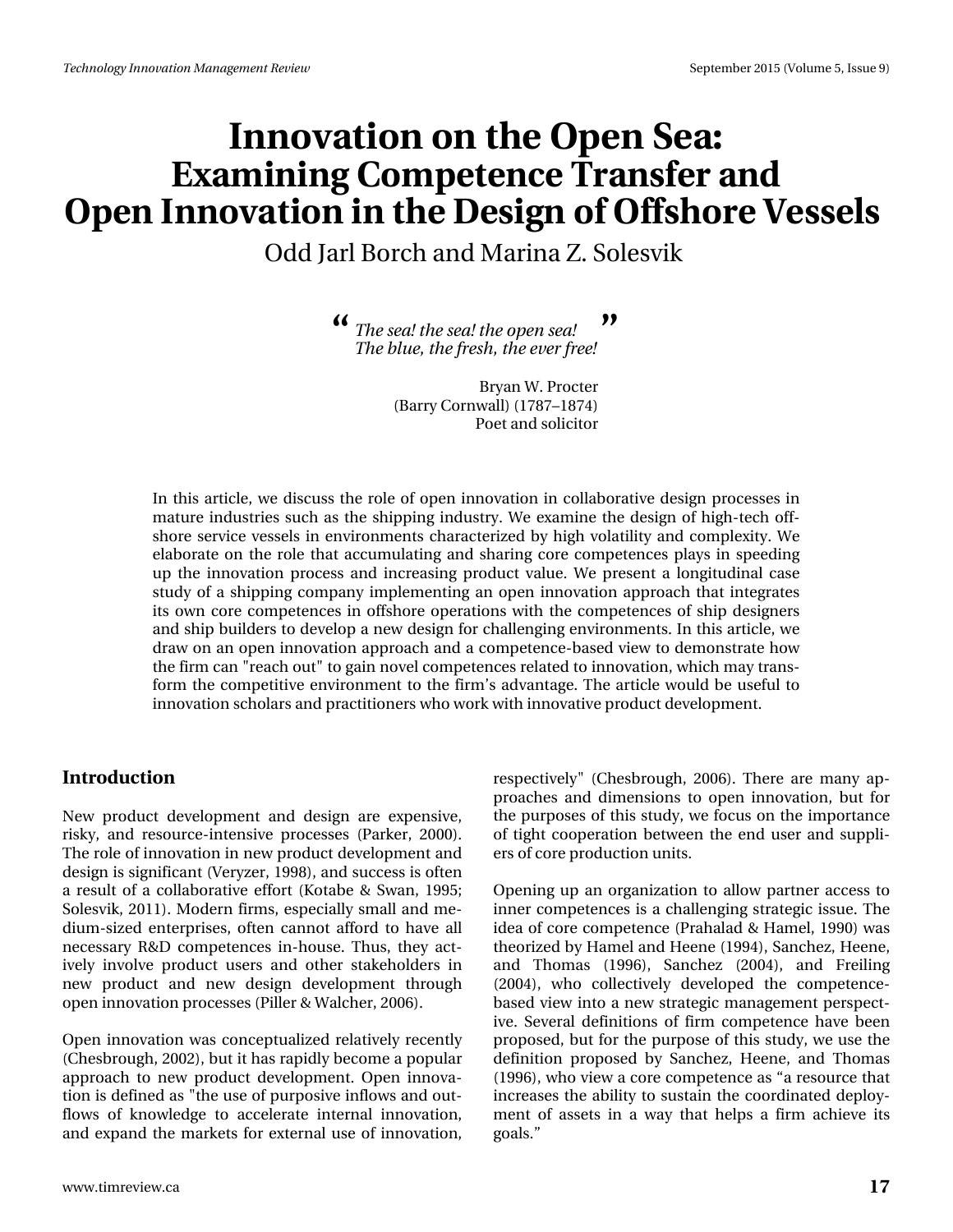# **Innovation on the Open Sea: Examining Competence Transfer and Open Innovation in the Design of Offshore Vessels**

Odd Jarl Borch and Marina Z. Solesvik

 $\bullet$  The sea! the sea! the open sea! *The blue, the fresh, the ever free!*

> Bryan W. Procter (Barry Cornwall) (1787–1874) Poet and solicitor

In this article, we discuss the role of open innovation in collaborative design processes in mature industries such as the shipping industry. We examine the design of high-tech offshore service vessels in environments characterized by high volatility and complexity. We elaborate on the role that accumulating and sharing core competences plays in speeding up the innovation process and increasing product value. We present a longitudinal case study of a shipping company implementing an open innovation approach that integrates its own core competences in offshore operations with the competences of ship designers and ship builders to develop a new design for challenging environments. In this article, we draw on an open innovation approach and a competence-based view to demonstrate how the firm can "reach out" to gain novel competences related to innovation, which may transform the competitive environment to the firm's advantage. The article would be useful to innovation scholars and practitioners who work with innovative product development.

### **Introduction**

New product development and design are expensive, risky, and resource-intensive processes (Parker, 2000). The role of innovation in new product development and design is significant (Veryzer, 1998), and success is often a result of a collaborative effort (Kotabe & Swan, 1995; Solesvik, 2011). Modern firms, especially small and medium-sized enterprises, often cannot afford to have all necessary R&D competences in-house. Thus, they actively involve product users and other stakeholders in new product and new design development through open innovation processes (Piller & Walcher, 2006).

Open innovation was conceptualized relatively recently (Chesbrough, 2002), but it has rapidly become a popular approach to new product development. Open innovation is defined as "the use of purposive inflows and outflows of knowledge to accelerate internal innovation, and expand the markets for external use of innovation,

respectively" (Chesbrough, 2006). There are many approaches and dimensions to open innovation, but for the purposes of this study, we focus on the importance of tight cooperation between the end user and suppliers of core production units.

Opening up an organization to allow partner access to inner competences is a challenging strategic issue. The idea of core competence (Prahalad & Hamel, 1990) was theorized by Hamel and Heene (1994), Sanchez, Heene, and Thomas (1996), Sanchez (2004), and Freiling (2004), who collectively developed the competencebased view into a new strategic management perspective. Several definitions of firm competence have been proposed, but for the purpose of this study, we use the definition proposed by Sanchez, Heene, and Thomas (1996), who view a core competence as "a resource that increases the ability to sustain the coordinated deployment of assets in a way that helps a firm achieve its goals."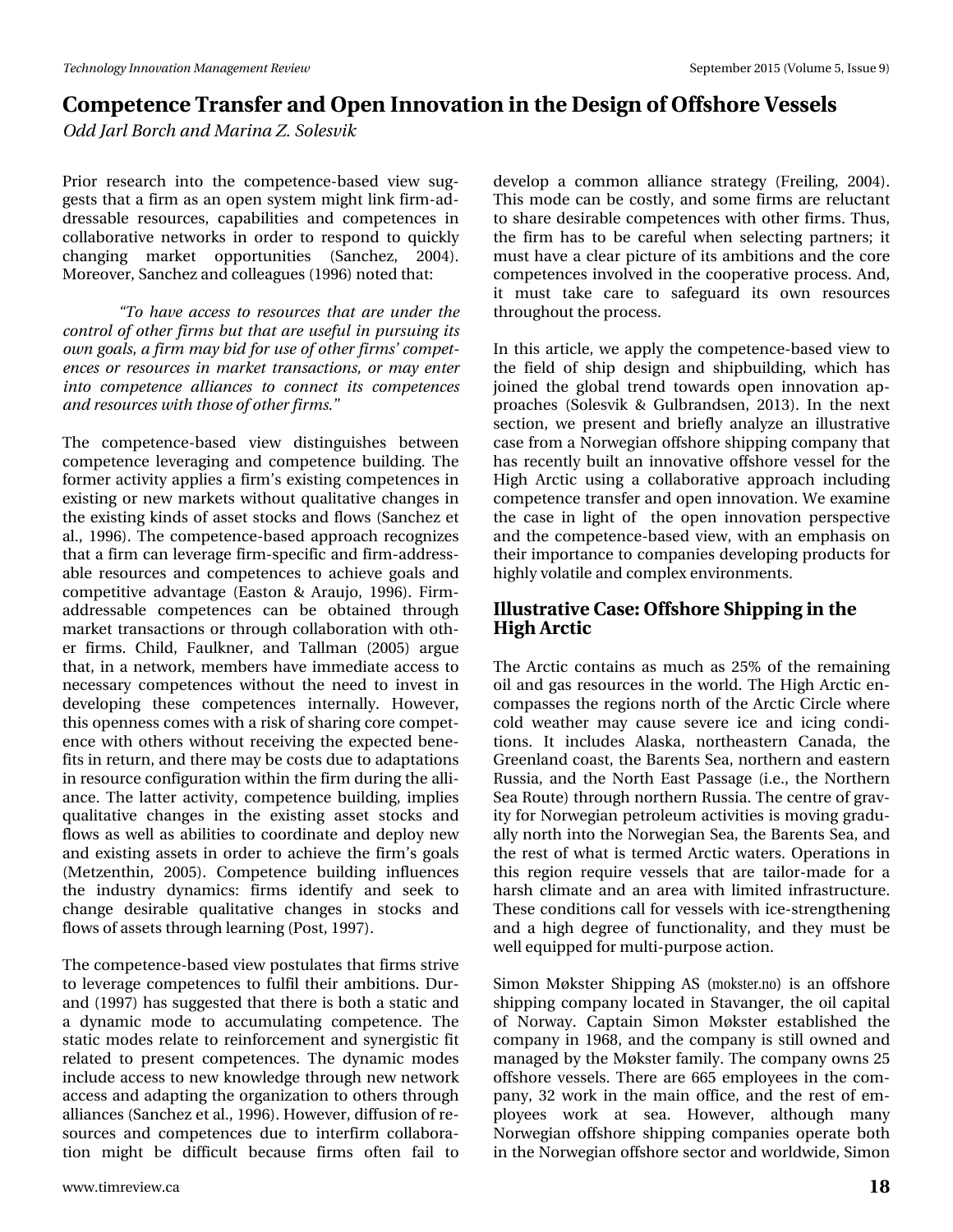# Frp shwhqfh#Wudqvihu#dqg#Rshq#Lqqrydwlrq#q#wkh#Ghvljq#i#Riivkruh#Yhvvhov# Rag#MudeEr uf k#dgg#P dulgd# 1#Vr dwln#

Sulru#uhvhdufk#lqwr#wkh#frpshwhqfh0edvhg#ylhz#vxj0 jhvw#wkdw#d#llup#dv#dq#rshq#v|vwhp#pljkw#dqn#llup0dg0 guhwdedn#uhvr xuf hv/#fdsdeldwhv#dqg#frpshwhqfhv#lq# frooderudwlyh#qhwzrunv#lq#rughu#wr#uhvsrqg#wr#txlfno|# fkdqjlqj# pdunhw# rssruwsqlwlhv# +Vdqfkh}/# 5337,1# Pruhryhu/#Vdqfkh}#dqg#froohdjxhv#44<<9,#qrwhg#wkdw=

(W # kdyh # df fhw # w # uhwr x uf hw # w dw # du # x g g hu # w h # frqwurchti#wkhu#lupw#exw#wkdw#duh#xwhixc#lq#sxuw.lqj#ww# rzq#;rdov/#d#lup#pd|#elg#ru#xvh#ri#wkhu#lupv\*#frpshw0 hqf hv#r u#uhvr x uf hv#lq#p dunhw#vudqvdf whr qv/#r u#p d|#hqwhu# lqwr#frpshwhqfh#dooldqfhw#wr#frqqhfw#lw#frpshwhqfhw# dqg#uhvrxufhv#zlwk#nkrvh#ri#wkhu#lupvT<sup>M</sup>

With #frp shwhqfh 0ed vhg #ylhz #glwwlqj xlvkhv #ehwzhhq# frp shwhqfh#dhyhudjlqj#dqg#frp shwhqfh#exloglqj1#AWkh# iruphu#dfwlylw|#dssolhv#d#llup\*v#h{lwwlqj#frpshwhqfhv#lq# h{lww.qi#tu#qhz#pdunhw#zlwkrxw#xdolwdwlyh#kdqjhv#lq# wkh#h{lwwqj#nlqgv#ri#dvvhw#wwrfnv#dqg#orzv#AVdqfkh}#hw# do//#4<<9,14/Wh#frpshwhqfh0edvhg#dssurdfk#uhfrjql}hv# wkdw#d#lup#dq#bhyhudjh#lup0vshflilf#dqg#lup0dgguhvv0 dedn#uhvrxufhv#dqg#frpshvhqfhv#wr#dfklhyh#jrdov#dqg# frp shwwyh#dgydqwdjh#+Hdwwrq#)#Dudxm/#4<<9,1# lup 0 dgguhvvdedn#frpshwhqfhv#fdq#eh#rewdlqhg#wkurxjk# p dunhw#wudqvdfwlrqv#ru#wkurxjk#frooderudwlrq#zlwk#rwk0 hu#ilup v#Fklog/#ldxonghu/#dgg#Wdoopdg#+5338,#dujxh# wkdw#tq#d#qhvzrun/#phpehuv#kdyh#pphgldwh#dffhvv#wr# ghf hwdu #frp shwhqf hv#z lwkrxw#wkh#qhhq#wr#lqyhw#lq# ghyhorsigi#wkhyh#frpshwhqfhy#iqwhuqdooj#Krzhyhu/# wklv#shqqhvv#rphv#zlwk#d#ulvn#i#vkdulqj#ruh#frpshw0 hqf h#z lwk#r wkhuv#z lwkr xw#uhf hlylqj #wkh#h{shf whg#ehqh0 ilw#q#uhwxuq/#dqg#wkhuh#pd|#eh#frww#gxh#wr#dgdswdwlrqv# lq#uhvrxufh#frqiljxudwlrq#zlwklq#wkh#lup#gxulqj#wkh#dool0 dqfht#AWkh#codwuhu#dfwlylw|/#frpshwhqfh#exloglqj/#lpsolhv# t xddwdwlyh#fkdqjhv#lq#wkh#h{lvwlqj#dvvhw#vwrfnv#dqg# ior z v#dv#z hoo#dv#delolwhv#wr#frruglqdwh#dqg#ghsor | #qhz # dqg#h{lwwqj#dwhw#lq#rughu#wr#dfklhyh#wkh#llup \*v#jrdov# +Phw}hqwklq/#5338,#Frpshwhqfh#exloglqj#lqioxhqfhv# wkh#lqgxwwd #g|qdp If v=#ilup v#lghqwli|#dqg#vhhn#wr# f kdqj h#ghvludedn#t xddvdvlyh#f kdqj hv#lq#vwr f nv#dqg# ior z v#i#dvvhw#wkurxjk#bhduqlqj#-Srvw/#4<<:,1#

Wikh#frpshwhqfh0edvhg#ylhz#srvwxodwhv#wkdw#lupv#wwJyh# wr#dnyhudjh#frpshwhqfhv#wr#ixoilo#wkhlu#dpelwlrqv1#Gxu0 dqg#4<<:,#kdv#vxjjhvvhg#wkdv#wkhuh#v#erwk#d#vodwlf#dqg# d#g|qdplf#prgh#wr#dffxpxodwlgj#frpshwhqfh1#Wkh# wodwf#prghv#uhodwh#wr#uhlqirufhphqw#dqg#v|qhujlvwlf#llw# uhodwhg#wr#suhvhqw#frpshwhqfhv1#Wkh#g|qdplf#prghv# lqf oxgh#dff hw#wr#qhz#hqrzohgjh#wkurxjk#qhz#qhwzrun# dff hvv#dqg#dgdswlqj#wkh#rujdql}dwlrq#wr#rwkhuv#wkurxjk# doddqf hv#Vdqf kh}#hw#Jo1/#4<<9,1Krz hyhu/#gliixvlrq#i#uh0 vrxufhv#dqg#frpshwhqfhv#gxh#wr#lqwhuilup#frooderud0 whrq#pljkw#eh#gliilfxow#ehfdxvh#ilupv#riwhq#idlo#wr#

ghyhors#d#frpprq#dooldqfh#vwdwhj | #+ uhlolqj /#5337, # Wikiv#prgh#fdg#eh#frwwol/#dgg#vrph#llupv#duh#uhoxfwdgw# w #wkduh#ghvludedn#frpshwhqfhv#zlwk#rwkhu#lupv#AWkxv/# wkh#lup#kdv#wr#eh#fduhixd#zkhq#vhdnfwlqj#sduwqhuv=#lw# p x w # x dyh#d#f dndu#s If wx uh#ri# w#dp elwir q v#dqg#wk h#f r uh# frp shwhqf hv#qyroyhg#q#wkh#frrshudwlyh#surfhvv#Dqg/# lw#p x ww# wdnh#f duh# wr# vdihj x dug#l wr#r z q# uhvr x uf hv# wkurxjkrxw#wkh#surfhw1#

Lq#wklv#duwfdn/#zh#dsso|#wkh#frpshwhqfh0edvhg#ylhz#wr# wkh#ilhog#ri#vkls#ghvljq#dqg#vklsexloglqj/#zklfk#kdv# mlqhg#wkh#joredd#wuhqg#wrzdugv#rshq#lqqrydwlrq#ds0 surdf khv#+Vr dnvyln#) #J xoeudqgvhq/#5346, #Lq#wkh#qh{w# vhf wr q/#z h#s uhvhqw#dqg#eulhid #dqdd } h#dq#loox wudwlyh# fdvh#urp#d#Qruzhjldq#iivkruh#vklsslqj#frpsdq|#wkdw# kdv#uhfhqvo|#exlow#dq#lqqrydwlyh#riivkruh#yhvvho#iru#wkh# Klj k#Dufwlf#xvlqj#d#frooderudwlyh#dssurdfk#lqfoxglqj# frp shwhqfh#wudqvihu#dqg#shq#qqrydwlrq1#Zh#h{dplqh# wkh#fdvh#lq#djkw#ri##wkh#rshq#lqqrydwlrq#shuvshfwlyh# dqg#wkh#frpshwhqfh0edvhg#ylhz/#zlwk#dq#hpskdvlv#rq# wkhlu#psruwdqfh#wr#frpsdqlhv#ghyhorslqj#surgxfw#tru# kljkoj#yrodwloh#dqg#frpsoh{#hqylurqphqwv1

## Loox wudwly h#Fdvh=#Riivkruh#Vklsslqj#q#wkh# Klj k#Duf wh

Wkh#Dufwlf#frqwdlqv#dv#pxfk#dv#58(#ri#wkh#uhpdlqlqj# rlo#dqg#jdv#uhvrxufhv#lq#wkh#zruog1#Wkh#Kljk#Dufwlf#hq0 frp sdvvhv#wkh#uhjlrqv#qruwk#ri#wkh#Dufwlf#Flufoh#zkhuh# fr  $\omega$ #z hdwkhu#p d| #fdxvh#vhyhuh#lfh#dqg#lflqj #fr qgl0 whr qv'#Lw#lqfoxghv#Dodvnd/#qruwkhdvwhuq#Fdqdgd/#wkh# Juhhqodqg#rdvw#wkh#Eduhqw#Vhd/#qruwkhuq#dqg#hdvwhuq# Ux wld/#dqg#wk h#Qr uwk #Hdw#Sdwdj h#+I 11 1/#wk h#Qr uwk huq# Vhd#Urxwh,#wkurxjk#gruwkhuq#Uxvvld1#Wkh#hqwuh#i#udy0 lwht ut Qruzhildg#shwurdhxp#dfwlylwhv#lv#prylgi#ludgx0 doo)#qruwk#qwr#wkh#Qruzhjldq#Vhd/#wkh#Eduhqw#Vhd/#dqg# wkh#uhw#ri#z kdw#v#whup hg#Dufwlf#z dwhuv1#Rshudwlrqv#lq# wklv#uhjlrq#uhtxluh#yhvvhov#wkdw#duh#walloru0pdgh#iru#d# kduvk#folpdvh#dqg#dq#duhd#zlwk#olplwhg#lqiudvwuxfwxuh1# Wikh what it a glw r g v tt doot it utly h who the lwk at h D wu hay in what git the dqg#d#kljk#ghjuhh#ri#ixqfwlrqdolw/#dqg#wkh|#pxw#eh# z hoc#htxlsshg#ru#pxow0sxusrvh#dfwlrq1#

Mprq#Punwhu#Vklsslqj#DV#+prnwhutqr,#lv#dq#riivkruh# vklsslqj#frpsdq|#orfdwhg#lq#Wodydqjhu/#wkh#rlo#fdslvolo# ri#Qruzd #Fdswdlq#Vlprq#Punwhu#hwdedvkhg#wkh# frp sdq|#lq#4<9;/#dqg#wkh#frp sdq|#lv#wloo#rzqhg#dqg# p dqdj hg#e|#wkh#P µnwhu#dp lo|#Wkh#frp sdq|#z qv#58# riivkruh#yhvvhov1#Wkhuh#duh#998#hpsor|hhv#lq#wkh#frp0 sdq|/#65#zrun#lq#wkh#pdlq#riilfh/#dqg#wkh#uhww#ri#hp0 sor | hhv# z r un# dw# vhd# K r z hyhu/# dowk r x j k # p dq | # Qruzhjldg#riivkruh#vklsslgj#frpsdglhv#rshudwh#erwk# lq#wkh#Qruzhjldq#iivkruh#vhfwru#dqg#zruogzlgh/#Mprq#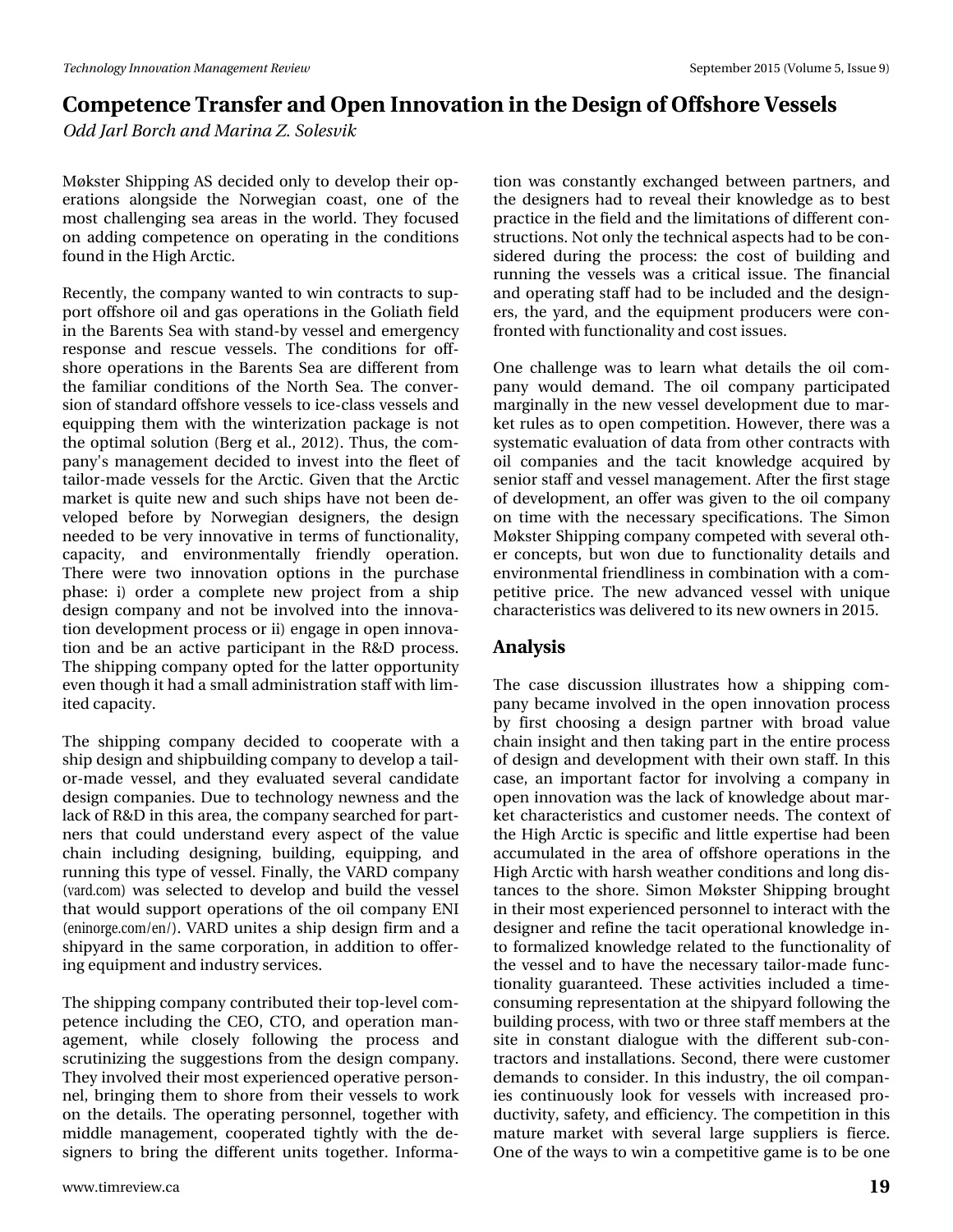# Frp shwhqfh#Wudqvihu#dqg#Rshq#Lqqrydwlrq#q#wkh#Ghvljq#i#Riivkruh#Yhvvhov# Rag#MudeEr uf k#dgg#P dulgd# 1#Vr dwln#

Punwhu#Mklsslqj#DV#ghflghg#rqd#wr#ghyhors#wkhlu#rs0 hudwir gy#dor gj vlgh#wkh#Qr uz hj ldg#f r dvw#r gh#r i#wkh# prwwfkdoongjlgj#vhd#duhdv#lq#wkh#zruog1#Wkh|#irfxvhg# rg#dgglgj#frpshwhqfh#rg#rshudwlgj#lq#wkh#frgglwlrgv# ir xqg#q#wkh#Kljk#Dufwlf1

Uhfhqwo)/#wkh#frpsdq|#zdqwhq#wr#zlq#frqwudfw#wr#vxs0 sruwhtiivkruh#lo#dqg#dv#shudwlrqv#q#wkh#Jroldwk#lhoq# lq#wkh#Eduhqw#Mnd#zlwk#wdqg0e|#yhvvho#dqg#nphujhqf|# uhvsrqvh#dqg#uhvfxh#yhvvhov#Wkh#frqglwlrqv#iru#rii0 vkruh#rshudwirqv#lq#wkh#Eduhqwr#Vhd#duh#gliihuhqw#iurp# wk.h#idplotdu#frqqlwtrqv#ri#wk.h#Qruwk#Vhd1#Wk.h#frqyhu0 vir q# i#wdqgdug# iivkruh#yhwhov#wr#fh0fodw#yhwhov#dqg# ht xlsslqj#wkhp#zlwk#wkh#zlqwhul}dwlrq#sdfndjh#lv#qrw# wk.https.wipdottyrox.wirg#HEhuj#hw#do1/#5345,1#Wk.xv/#wk.httpg.o sdq|Šr#pdqdjhphqw#ghflghg#wr#lqyhvv#lqwr#wkh#idnhw#ri# vollor up dgh#yhvvhov#ir u#wkh#Duf wlf #U lyhq#wk dw#wkh#Duf wlf # p dunhw#v#txlwh#qhz#dqg#vxfk#vklsv#kdyh#qrw#ehhq#gh0 yho shq#ehir uh#e|#Qruz hildq#ghvljqhuv/#wkh#ghvljq# qhhghg#wr#eh#yhu|#lqqrydwlyh#lq#whupv#ri#xqfwlrqddwl/# fdsdflw/#dqg#hqylurqphqwdool#iulhqgq#rshudwrq# Wikhuh#z huh#wz r#lqqrydwirq#rswirqv#lq#wikh#sxufkdvh# skdvh#l,#rughu#d#frpsdnwh#qhz#surmhfw#iurp#d#vkls# ghvljg#frpsdg|#dgg#grw#eh#lgyroyhg#lgwr#wkh#lggryd0 whrq#ghyhorsphqw#surfhw#ru#l,#hqjdjh#q#rshq#qqryd0 who g #dgg#eh#dg#df why#sduwtlsdgw#lg#wkh#U) G#surfhw Wkh#vklsslqj#frpsdq|#rswhg#ru#wkh#odwwhu#rssruw.qlw|# hyhq#nkrxjk#w#kdg#d#ypdoo#dgplqlvw.dwhrq#wolii#zlwk#olp0 lwhg#dsdflwl1

Wikh#vklsslqj#frpsdq|#ghflghg#wr#frrshudwh#zlwk#d# vkls#ghvljq#dqg#vklsexloglqj#frpsdq|#wr#ghyhors#d#wdlo0 r up dgh#yhvvhd#dqg#wkh| #hydoxdwhg#vhyhudd# dqglgdwh# ghvljq#frpsdqlhv#Gxh#wr#whfkqrorj|#qhzqhvv#dqg#wkh# oolfn#i#U) G#q#wklv#duhd/#wkh#frpsdq|#vhdufkhg#ru#sduw0 qhw#wkdw#frxog#xqghuwdqg#hyhu|#dvshfw#ri#wkh#ydoxh# fkdlq#lqfoxglqj#ghvljqlqj/#exloglqj/#htxlsslqj/#dqg# uxqqlqj#wklv#wjsh#ri#yhvvhof#llqdoo|/#wkh#YDUG#frpsdq|# +ydug frp,#z dv#vhohfwhg#wr#ghyhors#dqg#exlog#wkh#yhvvho# wk.dw#zrxog#wxssruw#rshudwlrqv#ri#wk.h#rlo#frpsdq|#HQL# +hqlqrujhfrp2hq2,1#YDUG#xqlvhnv#d#vkls#ghvljq#llup#dqg#d# vkls|dug#lq#wkh#vdph#frusrudwlrq/#lq#dgglwlrq#wr#riihu0 lqj #ht xlsp hqw#dqg#qgxwwd #vhuylf hv#

Wkh#vklsslqj#frpsdq|#frqwulexwhg#wkhlu#wrs0dnyho#frp0 shwhafh#lqfoxglqj#wkh#FHR/#FWR/#dqg#rshudwlrq#pdq0 djhp hqw/#z kloh#forvho|#iroorzlqj#wkh#surfhvv#dqg# vfux wlql }lqj#wkh#vxjjhvwlrqv#jurp#wkh#ghvljq#frpsdq|1# With #qyroyhg#withlu#prw#n{shulhqfhg#shudwlyh#shuvrq0 qho'#eulqjlqj#wkhp#wr#vkruh#jurp#wkhlu#yhvvhov#wr#zrun# r g#wkh#ghwdlov1#Wkh#r shudwlgj#shuvrggho/#wrjhwkhu#zlwk# plggoh#pdgdjhphqw#frrshudwhg#wljkwoj#zlwk#wkh#gh0 vljqhuv#wr#eulqj#wkh#gliihuhqw#xqlw#wrjhwkhuf#Lqirupd0

whr g#z dv#fr gwodgwol #h{fkdgj hg#ehwz hhq#sduwghuv/#dgg# wk h#ghvljqhuv#kdg#wr#uhyhdd#wk hlu#nqrz dhgjh#dv#wr#ehvw# sudfwlfh#q#wkh#lhog#dqg#wkh#olplwdwlrqv#ti#gliihuhqw#rq0 ww.xfwlrqv1#Qrw#qoj#wkh#mlfkqlfdo#dvshfwr#kdg#wr#eh#frq0 vlghung#gxulqj#wkh#surfhvv#wkh#frvw#ri#exloglqj#dqg# uxqqlqj#wkh#yhvvhov#zdv#d#fulwfdd#lvvxh1#Wkh#ilqdqfldd# dqg# shudwiq #wolii#kdg#wr#eh#qfoxghg#dqg#wkh#ghvljq0 huv/#wkh# dug/#dgg#wkh#htxlsphqw#surgxfhuv#zhuh#frq0 iur qwhg#z lwk#xqfwlr qddwl#dqg#trww#wxhv#

Rqh#fkdoohqjh#zdv#wr#dnduq#zkdw#ghwdlov#wkh#rlo#frp0 sdq|#zrxog#ghpdqg1#Wkh#rlo#frpsdq|#sduwflsdwhg# p duj lqdoo)#lq#wkh#qhz#yhvvho#ghyhorsphqw#gxh#wr#pdu0 nhw #x dnv#dv#w # shq#frp shwlwirq #Krz hyhu/#wk huh #z dv#d# v| whp dwf#hydoxdwr q# i#gdwd# urp # wkhu# r qwdf w#z lwk# rlo#frpsdqlhv#dqg#wkh#wdflw#nqrzohgjh#dftxluhg#e|# vhqlru#wdii#dqg#yhvvho#pdqdjhphqw#Divhu#wkh#luw#wdjh# ri#ghyhorsphqw#dq#riihu#zdv#jlyhq#wr#wkh#rlo#frpsdq|# r g# wip h#z lwk# wk h#ghf hwdu| # vs hf lilf dwir gy # 4 Wk h# M p r g # Punwhu#Mklsslqj#frpsdq|#frpshwhg#zlwk#whyhudo#wk0 hu#frqfhsw/#exw#zrq#gxh#wr#ixqfwlrqddw|#ghwdlov#dqg# hqylur qp hqwdd#ulhqgolqhw#q#frpelqdwlrq#zlwk#d#frp0 shwwyh#sulfh#Wkh#qhz#dgydqfhg#yhwhd#zlwk#xqltxh# f k dudf whul wulf v# dv#gholyhuhg#wr#w#ghz # z ghuv#g#53481

## Dadd vlv

Wikh#fdvh#glvfxwlrq#looxwudwhv#krz#d#vklsslqj#frp0 sdq|#ehfdph#lqyroyhg#lq#wkh#rshq#lqqrydwlrq#surfhw# e #iluw#fkrrvlgj#d#ghvljg#sduwghu#zlwk#eurdg#ydoxh# fkdlq#qvljkw#dqg#wkhq#wdnlqj#sduw#q#wkh#hqwluh#surfhvv# ri#ghvljq#dqg#ghyhorsphqw#zlwk#wkhlu#rzq#wolii1#Lq#wklv# fdvh/#dq#lpsruwdqw#idfwru#iru#lqyroylqj#d#frpsdq|#lq# rshq#qqrydwlrq#zdv#wkh#odfn#ri#nqrzohgjh#derxw#pdu0 nhw fik dudf whul wulfv#dqg#fxwwrphu#ghhgv1#Wkh#frqwh{w#ri# wkh#Kljk#Dufwlf#lv#vshflilf#dqg#dwwoh#h{shuwlvh#kdg#ehhq# dff xp xodwhg#lq#wkh#duhd#ri#riivkruh#rshudwlrqv#lq#wkh# Klj k#Duf wlf #z lwk#k duvk#z hdwk hu#fr qglwlr qv#dqg#or qj #glv0 wdqfhv#wr#wkh#vkruh1#Mprq#Punwwhu#Vklsslqj#eurxjkw# lq#wkhlu#prw#h{shulhqfhg#shuvrqqho#wr#qwhudfw#zlwk#wkh# ghvljqhu#dqg#uhilqh#wkh#wdflw#shudwlrqdo#nqrzohqjh#lq0 wr#irupdd}hg#nqrzdngjh#uhodwhg#wr#wkh#ixqfwlrqddw|#ri# wkh#yhvvho#dqg#wr#kdyh#wkh#qhfhvvdu|#wdloru0pdgh#ixqf0 whrqdowl#jxdudqwhlg1#Wkhvh#dfwlylwhv#lqfoxghg#d#wlph0 frqvxplqj#uhsuhvhqvdwlrq#dw#wkh#vkls|dug#roorzlqj#wkh# exlogiqi#surfhw/#zlwk#nzr#u#wkuhh#wolii#phpehuw#Jw#wkh# vlwh#lq#frqvvdqv#gldorjxh#zlvk#vkh#gliihuhqv#vxe0frq0 wolf w w#dqg#qwdoodwlr qv#Mnfrgg/#wkhuh#z huh#xwrp hu# ghp dqgv#wr#frqvlghuf#Lq#wklv#lqgxvwul/#wkh#rlo#frpsdq0 lhv#frqwlqxrxvq#orrn#iru#yhvvhov#zlwk#lqfuhdvhg#sur0 gxfwlylw/#vdihwl/#dqg#hiilflhqf|1#Wkh#frpshwlwrq#q#wklv# p dwxuh#p dunhw#z lwk#vhyhudo#odujh#vxssolhuv#lv#ilhufh1# Rgh#i#wkh#zdlv#wr#zlq#d#frpshwwlyh#dph#v#wr#eh#gh#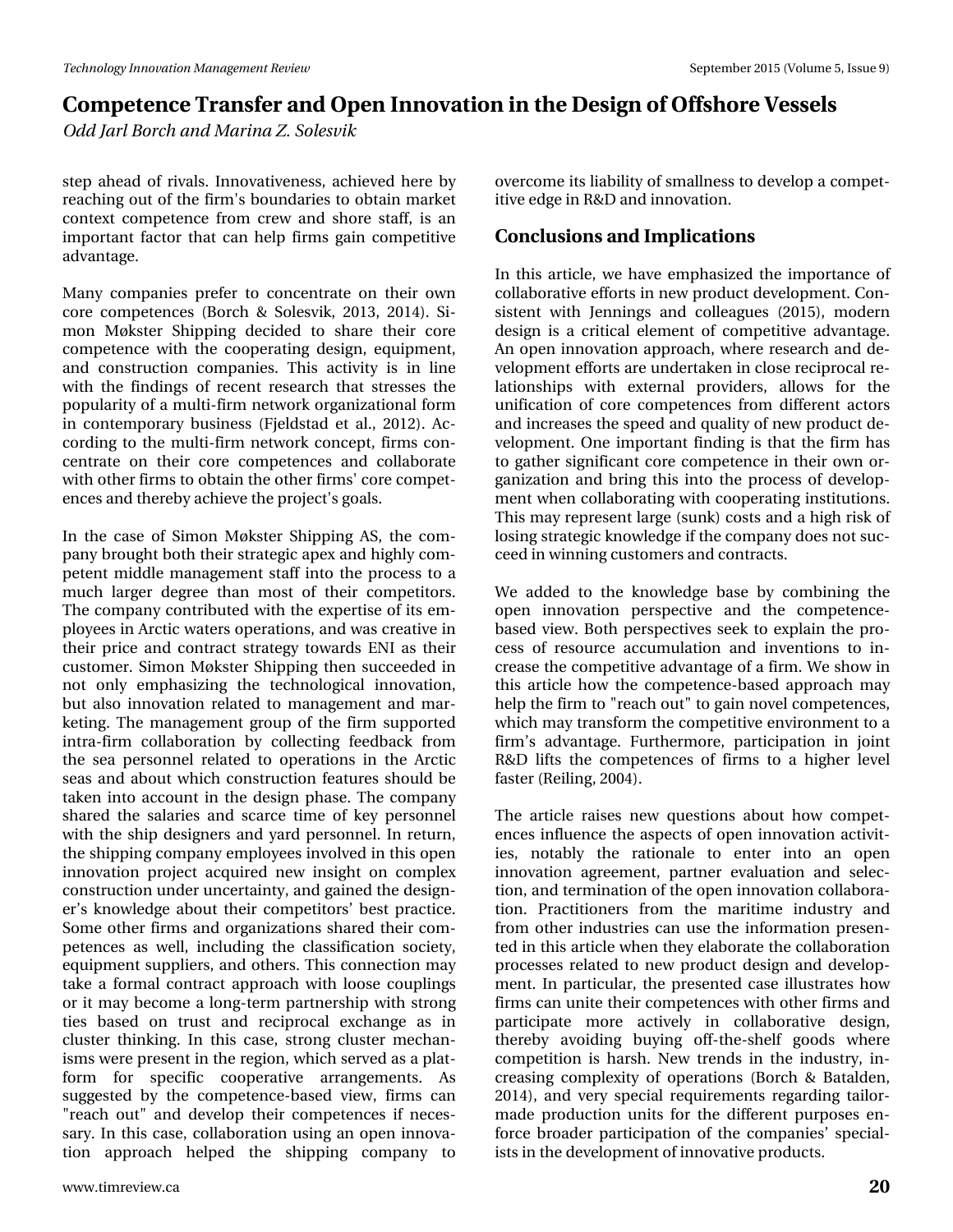## **Competence Transfer and Open Innovation in the Design of Offshore Vessels**

*Odd Jarl Borch and Marina Z. Solesvik*

step ahead of rivals. Innovativeness, achieved here by reaching out of the firm's boundaries to obtain market context competence from crew and shore staff, is an important factor that can help firms gain competitive advantage.

Many companies prefer to concentrate on their own core competences (Borch & Solesvik, 2013, 2014). Simon Møkster Shipping decided to share their core competence with the cooperating design, equipment, and construction companies. This activity is in line with the findings of recent research that stresses the popularity of a multi-firm network organizational form in contemporary business (Fjeldstad et al., 2012). According to the multi-firm network concept, firms concentrate on their core competences and collaborate with other firms to obtain the other firms' core competences and thereby achieve the project's goals.

In the case of Simon Møkster Shipping AS, the company brought both their strategic apex and highly competent middle management staff into the process to a much larger degree than most of their competitors. The company contributed with the expertise of its employees in Arctic waters operations, and was creative in their price and contract strategy towards ENI as their customer. Simon Møkster Shipping then succeeded in not only emphasizing the technological innovation, but also innovation related to management and marketing. The management group of the firm supported intra-firm collaboration by collecting feedback from the sea personnel related to operations in the Arctic seas and about which construction features should be taken into account in the design phase. The company shared the salaries and scarce time of key personnel with the ship designers and yard personnel. In return, the shipping company employees involved in this open innovation project acquired new insight on complex construction under uncertainty, and gained the designer's knowledge about their competitors' best practice. Some other firms and organizations shared their competences as well, including the classification society, equipment suppliers, and others. This connection may take a formal contract approach with loose couplings or it may become a long-term partnership with strong ties based on trust and reciprocal exchange as in cluster thinking. In this case, strong cluster mechanisms were present in the region, which served as a platform for specific cooperative arrangements. As suggested by the competence-based view, firms can "reach out" and develop their competences if necessary. In this case, collaboration using an open innovation approach helped the shipping company to overcome its liability of smallness to develop a competitive edge in R&D and innovation.

### **Conclusions and Implications**

In this article, we have emphasized the importance of collaborative efforts in new product development. Consistent with Jennings and colleagues (2015), modern design is a critical element of competitive advantage. An open innovation approach, where research and development efforts are undertaken in close reciprocal relationships with external providers, allows for the unification of core competences from different actors and increases the speed and quality of new product development. One important finding is that the firm has to gather significant core competence in their own organization and bring this into the process of development when collaborating with cooperating institutions. This may represent large (sunk) costs and a high risk of losing strategic knowledge if the company does not succeed in winning customers and contracts.

We added to the knowledge base by combining the open innovation perspective and the competencebased view. Both perspectives seek to explain the process of resource accumulation and inventions to increase the competitive advantage of a firm. We show in this article how the competence-based approach may help the firm to "reach out" to gain novel competences, which may transform the competitive environment to a firm's advantage. Furthermore, participation in joint R&D lifts the competences of firms to a higher level faster (Reiling, 2004).

The article raises new questions about how competences influence the aspects of open innovation activities, notably the rationale to enter into an open innovation agreement, partner evaluation and selection, and termination of the open innovation collaboration. Practitioners from the maritime industry and from other industries can use the information presented in this article when they elaborate the collaboration processes related to new product design and development. In particular, the presented case illustrates how firms can unite their competences with other firms and participate more actively in collaborative design, thereby avoiding buying off-the-shelf goods where competition is harsh. New trends in the industry, increasing complexity of operations (Borch & Batalden, 2014), and very special requirements regarding tailormade production units for the different purposes enforce broader participation of the companies' specialists in the development of innovative products.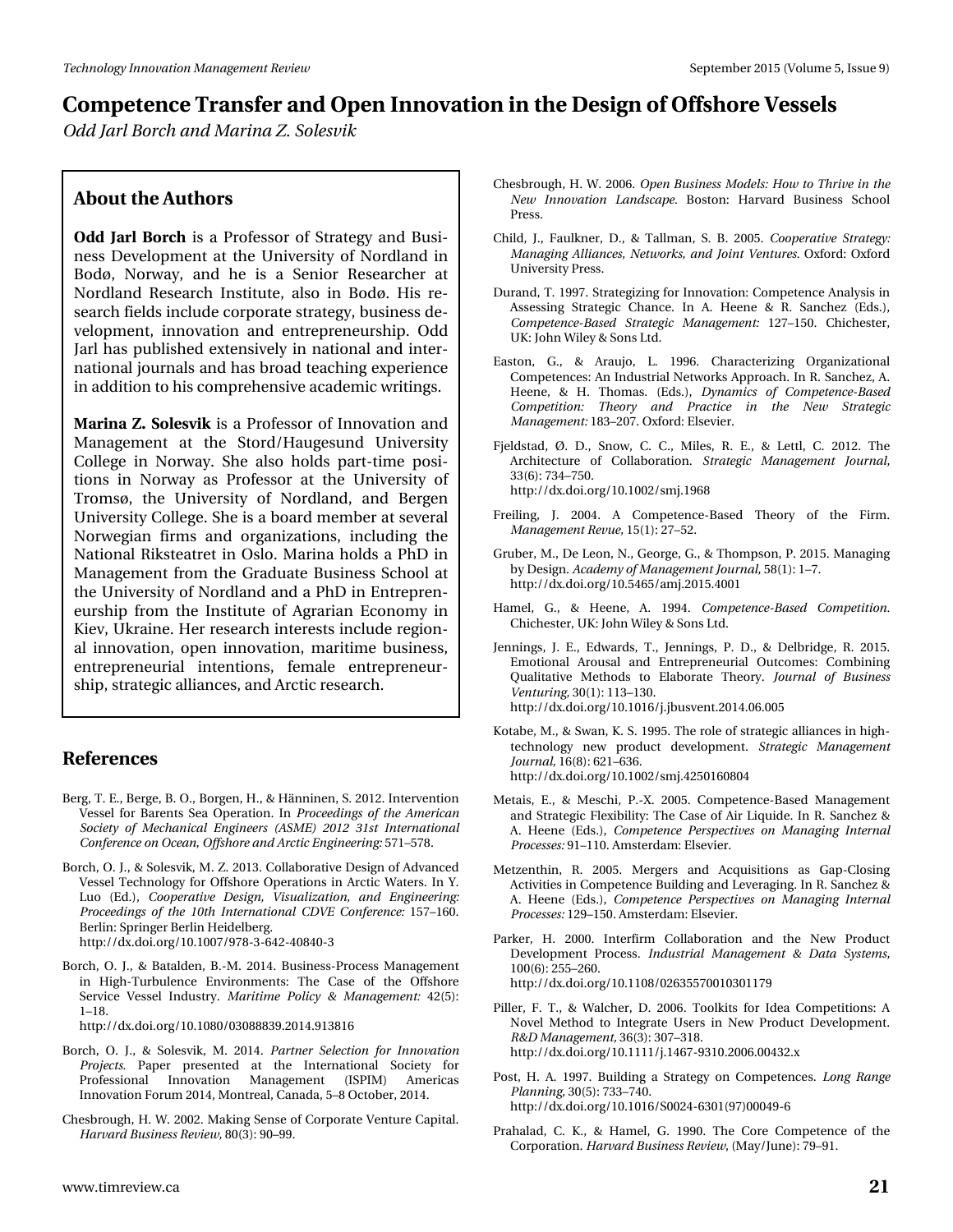## **Competence Transfer and Open Innovation in the Design of Offshore Vessels**

*Odd Jarl Borch and Marina Z. Solesvik*

### **About the Authors**

**Odd Jarl Borch** is a Professor of Strategy and Business Development at the University of Nordland in Bodø, Norway, and he is a Senior Researcher at Nordland Research Institute, also in Bodø. His research fields include corporate strategy, business development, innovation and entrepreneurship. Odd Jarl has published extensively in national and international journals and has broad teaching experience in addition to his comprehensive academic writings.

**Marina Z. Solesvik** is a Professor of Innovation and Management at the Stord/Haugesund University College in Norway. She also holds part-time positions in Norway as Professor at the University of Tromsø, the University of Nordland, and Bergen University College. She is a board member at several Norwegian firms and organizations, including the National Riksteatret in Oslo. Marina holds a PhD in Management from the Graduate Business School at the University of Nordland and a PhD in Entrepreneurship from the Institute of Agrarian Economy in Kiev, Ukraine. Her research interests include regional innovation, open innovation, maritime business, entrepreneurial intentions, female entrepreneurship, strategic alliances, and Arctic research.

### **References**

- Berg, T. E., Berge, B. O., Borgen, H., & Hänninen, S. 2012. Intervention Vessel for Barents Sea Operation. In *Proceedings of the American Society of Mechanical Engineers (ASME) 2012 31st International Conference on Ocean, Offshore and Arctic Engineering:* 571–578.
- Borch, O. J., & Solesvik, M. Z. 2013. Collaborative Design of Advanced Vessel Technology for Offshore Operations in Arctic Waters. In Y. Luo (Ed.), *Cooperative Design, Visualization, and Engineering: Proceedings of the 10th International CDVE Conference:* 157–160. Berlin: Springer Berlin Heidelberg. http://dx.doi.org/10.1007/978-3-642-40840-3
- Borch, O. J., & Batalden, B.-M. 2014. Business-Process Management in High-Turbulence Environments: The Case of the Offshore Service Vessel Industry. *Maritime Policy & Management:* 42(5): 1–18.

http://dx.doi.org/10.1080/03088839.2014.913816

- Borch, O. J., & Solesvik, M. 2014. *Partner Selection for Innovation Projects.* Paper presented at the International Society for Professional Innovation Management (ISPIM) Americas Innovation Forum 2014, Montreal, Canada, 5–8 October, 2014.
- Chesbrough, H. W. 2002. Making Sense of Corporate Venture Capital. *Harvard Business Review,* 80(3): 90–99.
- Chesbrough, H. W. 2006. *Open Business Models: How to Thrive in the New Innovation Landscape.* Boston: Harvard Business School Press.
- Child, J., Faulkner, D., & Tallman, S. B. 2005. *Cooperative Strategy: Managing Alliances, Networks, and Joint Ventures.* Oxford: Oxford University Press.
- Durand, T. 1997. Strategizing for Innovation: Competence Analysis in Assessing Strategic Chance. In A. Heene & R. Sanchez (Eds.), *Competence-Based Strategic Management:* 127–150. Chichester, UK: John Wiley & Sons Ltd.
- Easton, G., & Araujo, L. 1996. Characterizing Organizational Competences: An Industrial Networks Approach. In R. Sanchez, A. Heene, & H. Thomas. (Eds.), *Dynamics of Competence-Based Competition: Theory and Practice in the New Strategic Management:* 183–207. Oxford: Elsevier.
- Fjeldstad, Ø. D., Snow, C. C., Miles, R. E., & Lettl, C. 2012. The Architecture of Collaboration. *Strategic Management Journal,* 33(6): 734–750. http://dx.doi.org/10.1002/smj.1968
- Freiling, J. 2004. A Competence-Based Theory of the Firm. *Management Revue,* 15(1): 27–52.
- Gruber, M., De Leon, N., George, G., & Thompson, P. 2015. Managing by Design. *Academy of Management Journal,* 58(1): 1–7. http://dx.doi.org/10.5465/amj.2015.4001
- Hamel, G., & Heene, A. 1994. *Competence-Based Competition.* Chichester, UK: John Wiley & Sons Ltd.
- Jennings, J. E., Edwards, T., Jennings, P. D., & Delbridge, R. 2015. Emotional Arousal and Entrepreneurial Outcomes: Combining Qualitative Methods to Elaborate Theory. *Journal of Business Venturing,* 30(1): 113–130. http://dx.doi.org/10.1016/j.jbusvent.2014.06.005
- Kotabe, M., & Swan, K. S. 1995. The role of strategic alliances in hightechnology new product development. *Strategic Management Journal,* 16(8): 621–636. http://dx.doi.org/10.1002/smj.4250160804
- Metais, E., & Meschi, P.-X. 2005. Competence-Based Management and Strategic Flexibility: The Case of Air Liquide. In R. Sanchez & A. Heene (Eds.), *Competence Perspectives on Managing Internal Processes:* 91–110. Amsterdam: Elsevier.
- Metzenthin, R. 2005. Mergers and Acquisitions as Gap-Closing Activities in Competence Building and Leveraging. In R. Sanchez & A. Heene (Eds.), *Competence Perspectives on Managing Internal Processes:* 129–150. Amsterdam: Elsevier.
- Parker, H. 2000. Interfirm Collaboration and the New Product Development Process. *Industrial Management & Data Systems,* 100(6): 255–260. http://dx.doi.org/10.1108/02635570010301179
- Piller, F. T., & Walcher, D. 2006. Toolkits for Idea Competitions: A Novel Method to Integrate Users in New Product Development. *R&D Management,* 36(3): 307–318. http://dx.doi.org/10.1111/j.1467-9310.2006.00432.x
- Post, H. A. 1997. Building a Strategy on Competences. *Long Range Planning,* 30(5): 733–740. http://dx.doi.org/10.1016/S0024-6301(97)00049-6
- Prahalad, C. K., & Hamel, G. 1990. The Core Competence of the Corporation. *Harvard Business Review*, (May/June): 79–91.